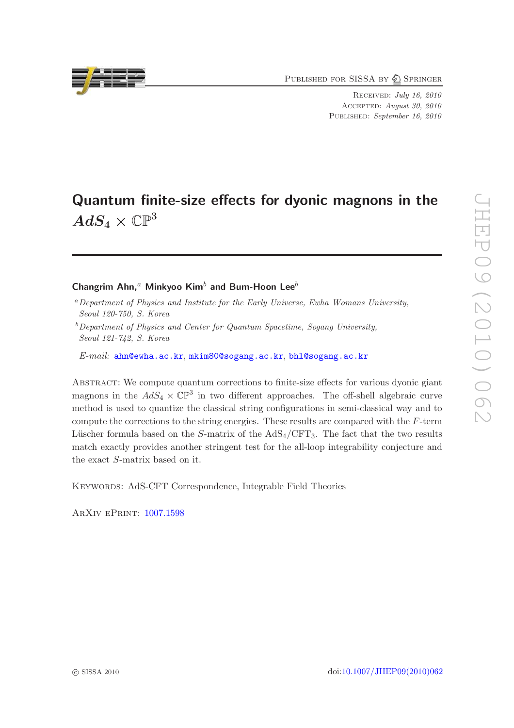PUBLISHED FOR SISSA BY 2 SPRINGER

Received: July 16, 2010 Accepted: August 30, 2010 PUBLISHED: September 16, 2010

# Quantum finite-size effects for dyonic magnons in the  $AdS_4\times \mathbb{CP}^3$

# Changrim Ahn,<sup>a</sup> Minkyoo Kim<sup>b</sup> and Bum-Hoon Lee<sup>b</sup>

<sup>a</sup>*Department of Physics and Institute for the Early Universe, Ewha Womans University, Seoul 120-750, S. Korea*

<sup>b</sup>*Department of Physics and Center for Quantum Spacetime, Sogang University, Seoul 121-742, S. Korea*

*E-mail:* [ahn@ewha.ac.kr](mailto:ahn@ewha.ac.kr), [mkim80@sogang.ac.kr](mailto:mkim80@sogang.ac.kr), [bhl@sogang.ac.kr](mailto:bhl@sogang.ac.kr)

Abstract: We compute quantum corrections to finite-size effects for various dyonic giant magnons in the  $AdS_4 \times \mathbb{CP}^3$  in two different approaches. The off-shell algebraic curve method is used to quantize the classical string configurations in semi-classical way and to compute the corrections to the string energies. These results are compared with the F-term Lüscher formula based on the S-matrix of the  $AdS_4/CFT_3$ . The fact that the two results match exactly provides another stringent test for the all-loop integrability conjecture and the exact S-matrix based on it.

KEYWORDS: AdS-CFT Correspondence, Integrable Field Theories

ArXiv ePrint: [1007.1598](http://arxiv.org/abs/1007.1598)

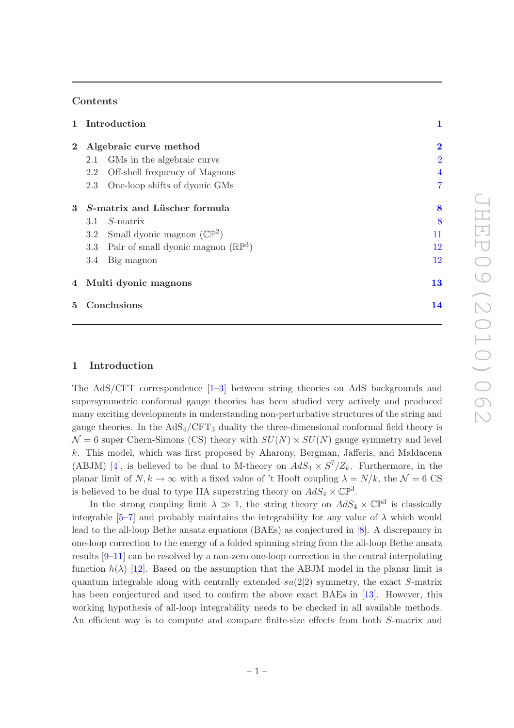## Contents

|                | 1 Introduction<br>Algebraic curve method |                                               | 1              |
|----------------|------------------------------------------|-----------------------------------------------|----------------|
| $\overline{2}$ |                                          |                                               | $\bf{2}$       |
|                | 2.1                                      | GMs in the algebraic curve.                   | $\overline{2}$ |
|                | 2.2                                      | Off-shell frequency of Magnons                | $\overline{4}$ |
|                | 2.3                                      | One-loop shifts of dyonic GMs                 | $\overline{7}$ |
| $\mathbf{3}$   | S-matrix and Lüscher formula             |                                               | 8              |
|                | 3.1                                      | $S$ -matrix                                   | 8              |
|                |                                          | 3.2 Small dyonic magnon $(\mathbb{CP}^2)$     | 11             |
|                | 3.3                                      | Pair of small dyonic magnon $(\mathbb{RP}^3)$ | 12             |
|                | 3.4                                      | Big magnon                                    | 12             |
|                | 4 Multi dyonic magnons                   |                                               | 13             |
| $5^{\circ}$    | Conclusions                              |                                               | 14             |

## <span id="page-1-0"></span>1 Introduction

The AdS/CFT correspondence [\[1](#page-15-0)[–3](#page-15-1)] between string theories on AdS backgrounds and supersymmetric conformal gauge theories has been studied very actively and produced many exciting developments in understanding non-perturbative structures of the string and gauge theories. In the  $AdS_4/CFT_3$  duality the three-dimensional conformal field theory is  $\mathcal{N}=6$  super Chern-Simons (CS) theory with  $SU(N) \times SU(N)$  gauge symmetry and level k. This model, which was first proposed by Aharony, Bergman, Jafferis, and Maldacena (ABJM) [\[4](#page-15-2)], is believed to be dual to M-theory on  $AdS_4 \times S^7/Z_k$ . Furthermore, in the planar limit of  $N, k \to \infty$  with a fixed value of 't Hooft coupling  $\lambda = N/k$ , the  $\mathcal{N} = 6$  CS is believed to be dual to type IIA superstring theory on  $AdS_4 \times \mathbb{CP}^3$ .

In the strong coupling limit  $\lambda \gg 1$ , the string theory on  $AdS_4 \times \mathbb{CP}^3$  is classically integrable [\[5](#page-15-3)[–7\]](#page-15-4) and probably maintains the integrability for any value of  $\lambda$  which would lead to the all-loop Bethe ansatz equations (BAEs) as conjectured in [\[8\]](#page-15-5). A discrepancy in one-loop correction to the energy of a folded spinning string from the all-loop Bethe ansatz results [\[9](#page-16-0)[–11](#page-16-1)] can be resolved by a non-zero one-loop correction in the central interpolating function  $h(\lambda)$  [\[12](#page-16-2)]. Based on the assumption that the ABJM model in the planar limit is quantum integrable along with centrally extended  $su(2|2)$  symmetry, the exact S-matrix has been conjectured and used to confirm the above exact BAEs in [\[13\]](#page-16-3). However, this working hypothesis of all-loop integrability needs to be checked in all available methods. An efficient way is to compute and compare finite-size effects from both S-matrix and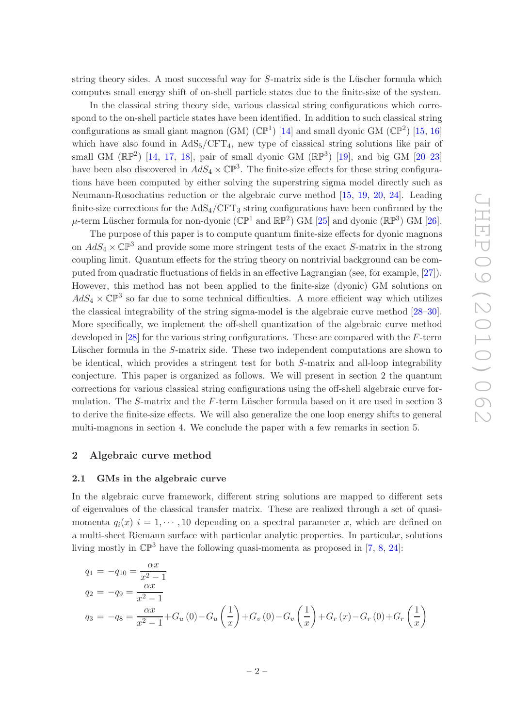string theory sides. A most successful way for  $S$ -matrix side is the Lüscher formula which computes small energy shift of on-shell particle states due to the finite-size of the system.

In the classical string theory side, various classical string configurations which correspond to the on-shell particle states have been identified. In addition to such classical string configurations as small giant magnon (GM)  $(\mathbb{CP}^1)$  [\[14](#page-16-4)] and small dyonic GM  $(\mathbb{CP}^2)$  [\[15,](#page-16-5) [16\]](#page-16-6) which have also found in  $AdS_5/CFT_4$ , new type of classical string solutions like pair of small GM  $(\mathbb{RP}^2)$  [\[14](#page-16-4), [17](#page-16-7), [18](#page-16-8)], pair of small dyonic GM  $(\mathbb{RP}^3)$  [\[19\]](#page-16-9), and big GM [\[20](#page-16-10)-23] have been also discovered in  $AdS_4 \times \mathbb{CP}^3$ . The finite-size effects for these string configurations have been computed by either solving the superstring sigma model directly such as Neumann-Rosochatius reduction or the algebraic curve method [\[15,](#page-16-5) [19](#page-16-9), [20](#page-16-10), [24\]](#page-16-12). Leading finite-size corrections for the  $AdS_4/CFT_3$  string configurations have been confirmed by the  $\mu$ -term Lüscher formula for non-dyonic ( $\mathbb{CP}^1$  and  $\mathbb{RP}^2$ ) GM [\[25\]](#page-16-13) and dyonic ( $\mathbb{RP}^3$ ) GM [\[26\]](#page-16-14).

The purpose of this paper is to compute quantum finite-size effects for dyonic magnons on  $AdS_4 \times \mathbb{CP}^3$  and provide some more stringent tests of the exact S-matrix in the strong coupling limit. Quantum effects for the string theory on nontrivial background can be computed from quadratic fluctuations of fields in an effective Lagrangian (see, for example, [\[27](#page-16-15)]). However, this method has not been applied to the finite-size (dyonic) GM solutions on  $AdS_4 \times \mathbb{CP}^3$  so far due to some technical difficulties. A more efficient way which utilizes the classical integrability of the string sigma-model is the algebraic curve method [\[28](#page-16-16)[–30\]](#page-17-0). More specifically, we implement the off-shell quantization of the algebraic curve method developed in [\[28\]](#page-16-16) for the various string configurations. These are compared with the F-term Lüscher formula in the S-matrix side. These two independent computations are shown to be identical, which provides a stringent test for both S-matrix and all-loop integrability conjecture. This paper is organized as follows. We will present in section 2 the quantum corrections for various classical string configurations using the off-shell algebraic curve formulation. The  $S$ -matrix and the  $F$ -term Lüscher formula based on it are used in section 3 to derive the finite-size effects. We will also generalize the one loop energy shifts to general multi-magnons in section 4. We conclude the paper with a few remarks in section 5.

#### <span id="page-2-1"></span><span id="page-2-0"></span>2 Algebraic curve method

#### 2.1 GMs in the algebraic curve

In the algebraic curve framework, different string solutions are mapped to different sets of eigenvalues of the classical transfer matrix. These are realized through a set of quasimomenta  $q_i(x)$  i = 1,  $\cdots$ , 10 depending on a spectral parameter x, which are defined on a multi-sheet Riemann surface with particular analytic properties. In particular, solutions living mostly in  $\mathbb{CP}^3$  have the following quasi-momenta as proposed in [\[7](#page-15-4), [8](#page-15-5), [24](#page-16-12)]:

$$
q_1 = -q_{10} = \frac{\alpha x}{x^2 - 1}
$$
  
\n
$$
q_2 = -q_9 = \frac{\alpha x}{x^2 - 1}
$$
  
\n
$$
q_3 = -q_8 = \frac{\alpha x}{x^2 - 1} + G_u(0) - G_u\left(\frac{1}{x}\right) + G_v(0) - G_v\left(\frac{1}{x}\right) + G_r(x) - G_r(0) + G_r\left(\frac{1}{x}\right)
$$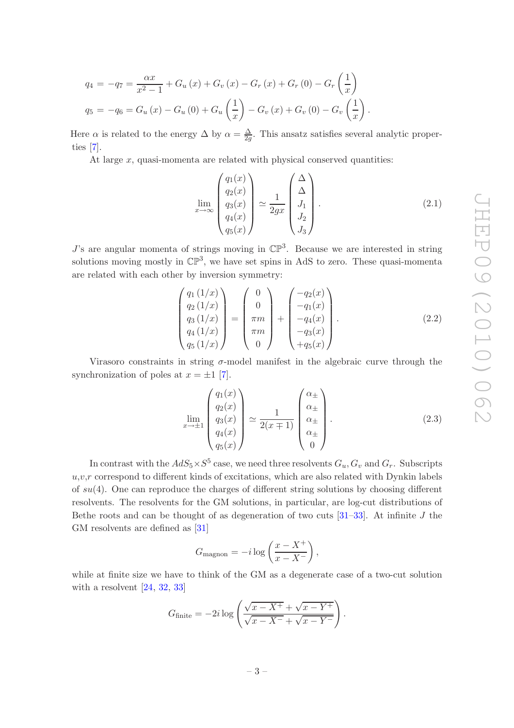$$
q_4 = -q_7 = \frac{\alpha x}{x^2 - 1} + G_u(x) + G_v(x) - G_r(x) + G_r(0) - G_r\left(\frac{1}{x}\right)
$$
  

$$
q_5 = -q_6 = G_u(x) - G_u(0) + G_u\left(\frac{1}{x}\right) - G_v(x) + G_v(0) - G_v\left(\frac{1}{x}\right).
$$

Here  $\alpha$  is related to the energy  $\Delta$  by  $\alpha = \frac{\Delta}{2a}$  $\frac{\Delta}{2g}$ . This ansatz satisfies several analytic properties [\[7\]](#page-15-4).

At large  $x$ , quasi-momenta are related with physical conserved quantities:

<span id="page-3-2"></span>
$$
\lim_{x \to \infty} \begin{pmatrix} q_1(x) \\ q_2(x) \\ q_3(x) \\ q_4(x) \\ q_5(x) \end{pmatrix} \simeq \frac{1}{2gx} \begin{pmatrix} \Delta \\ \Delta \\ J_1 \\ J_2 \\ J_3 \end{pmatrix} . \tag{2.1}
$$

 $J$ 's are angular momenta of strings moving in  $\mathbb{CP}^3$ . Because we are interested in string solutions moving mostly in  $\mathbb{CP}^3$ , we have set spins in AdS to zero. These quasi-momenta are related with each other by inversion symmetry:

<span id="page-3-0"></span>
$$
\begin{pmatrix}\nq_1(1/x) \\
q_2(1/x) \\
q_3(1/x) \\
q_4(1/x) \\
q_5(1/x)\n\end{pmatrix} = \begin{pmatrix}\n0 \\
0 \\
\pi m \\
0\n\end{pmatrix} + \begin{pmatrix}\n-q_2(x) \\
-q_1(x) \\
-q_4(x) \\
-q_3(x) \\
-q_5(x)\n\end{pmatrix}.
$$
\n(2.2)

Virasoro constraints in string  $\sigma$ -model manifest in the algebraic curve through the synchronization of poles at  $x = \pm 1$  [\[7\]](#page-15-4).

<span id="page-3-1"></span>
$$
\lim_{x \to \pm 1} \begin{pmatrix} q_1(x) \\ q_2(x) \\ q_3(x) \\ q_4(x) \\ q_5(x) \end{pmatrix} \simeq \frac{1}{2(x \mp 1)} \begin{pmatrix} \alpha_{\pm} \\ \alpha_{\pm} \\ \alpha_{\pm} \\ \alpha_{\pm} \\ 0 \end{pmatrix} . \tag{2.3}
$$

In contrast with the  $AdS_5 \times S^5$  case, we need three resolvents  $G_u, G_v$  and  $G_r$ . Subscripts  $u,v,r$  correspond to different kinds of excitations, which are also related with Dynkin labels of  $su(4)$ . One can reproduce the charges of different string solutions by choosing different resolvents. The resolvents for the GM solutions, in particular, are log-cut distributions of Bethe roots and can be thought of as degeneration of two cuts  $[31-33]$ . At infinite J the GM resolvents are defined as [\[31\]](#page-17-1)

$$
G_{\text{magnon}} = -i \log \left( \frac{x - X^+}{x - X^-} \right),
$$

while at finite size we have to think of the GM as a degenerate case of a two-cut solution with a resolvent [\[24](#page-16-12), [32,](#page-17-3) [33](#page-17-2)]

$$
G_{\text{finite}} = -2i \log \left( \frac{\sqrt{x - X^+} + \sqrt{x - Y^+}}{\sqrt{x - X^-} + \sqrt{x - Y^-}} \right).
$$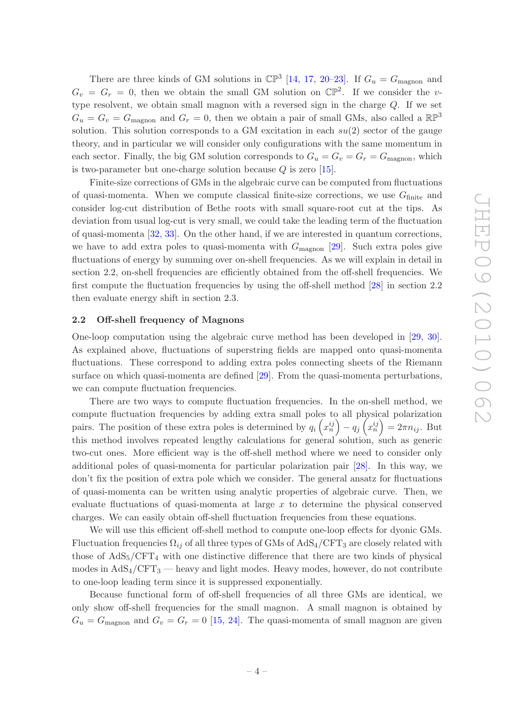There are three kinds of GM solutions in  $\mathbb{CP}^3$  [\[14,](#page-16-4) [17](#page-16-7), [20](#page-16-10)[–23](#page-16-11)]. If  $G_u = G_{\text{magnon}}$  and  $G_v = G_r = 0$ , then we obtain the small GM solution on  $\mathbb{CP}^2$ . If we consider the vtype resolvent, we obtain small magnon with a reversed sign in the charge Q. If we set  $G_u = G_v = G_{\text{magnon}}$  and  $G_r = 0$ , then we obtain a pair of small GMs, also called a  $\mathbb{RP}^3$ solution. This solution corresponds to a GM excitation in each  $su(2)$  sector of the gauge theory, and in particular we will consider only configurations with the same momentum in each sector. Finally, the big GM solution corresponds to  $G_u = G_v = G_r = G_{\text{magnon}}$ , which is two-parameter but one-charge solution because  $Q$  is zero [\[15](#page-16-5)].

Finite-size corrections of GMs in the algebraic curve can be computed from fluctuations of quasi-momenta. When we compute classical finite-size corrections, we use  $G<sub>finite</sub>$  and consider log-cut distribution of Bethe roots with small square-root cut at the tips. As deviation from usual log-cut is very small, we could take the leading term of the fluctuation of quasi-momenta [\[32,](#page-17-3) [33\]](#page-17-2). On the other hand, if we are interested in quantum corrections, we have to add extra poles to quasi-momenta with  $G_{\text{magnon}}$  [\[29](#page-17-4)]. Such extra poles give fluctuations of energy by summing over on-shell frequencies. As we will explain in detail in section 2.2, on-shell frequencies are efficiently obtained from the off-shell frequencies. We first compute the fluctuation frequencies by using the off-shell method [\[28\]](#page-16-16) in section 2.2 then evaluate energy shift in section 2.3.

## <span id="page-4-0"></span>2.2 Off-shell frequency of Magnons

One-loop computation using the algebraic curve method has been developed in [\[29](#page-17-4), [30\]](#page-17-0). As explained above, fluctuations of superstring fields are mapped onto quasi-momenta fluctuations. These correspond to adding extra poles connecting sheets of the Riemann surface on which quasi-momenta are defined [\[29\]](#page-17-4). From the quasi-momenta perturbations, we can compute fluctuation frequencies.

There are two ways to compute fluctuation frequencies. In the on-shell method, we compute fluctuation frequencies by adding extra small poles to all physical polarization pairs. The position of these extra poles is determined by  $q_i\left(x_n^{ij}\right) - q_j\left(x_n^{ij}\right) = 2\pi n_{ij}$ . But this method involves repeated lengthy calculations for general solution, such as generic two-cut ones. More efficient way is the off-shell method where we need to consider only additional poles of quasi-momenta for particular polarization pair [\[28\]](#page-16-16). In this way, we don't fix the position of extra pole which we consider. The general ansatz for fluctuations of quasi-momenta can be written using analytic properties of algebraic curve. Then, we evaluate fluctuations of quasi-momenta at large  $x$  to determine the physical conserved charges. We can easily obtain off-shell fluctuation frequencies from these equations.

We will use this efficient off-shell method to compute one-loop effects for dyonic GMs. Fluctuation frequencies  $\Omega_{ij}$  of all three types of GMs of AdS<sub>4</sub>/CFT<sub>3</sub> are closely related with those of  $AdS_5/CFT_4$  with one distinctive difference that there are two kinds of physical modes in  $AdS_4/CFT_3$  — heavy and light modes. Heavy modes, however, do not contribute to one-loop leading term since it is suppressed exponentially.

Because functional form of off-shell frequencies of all three GMs are identical, we only show off-shell frequencies for the small magnon. A small magnon is obtained by  $G_u = G_{\text{magnon}}$  and  $G_v = G_r = 0$  [\[15](#page-16-5), [24](#page-16-12)]. The quasi-momenta of small magnon are given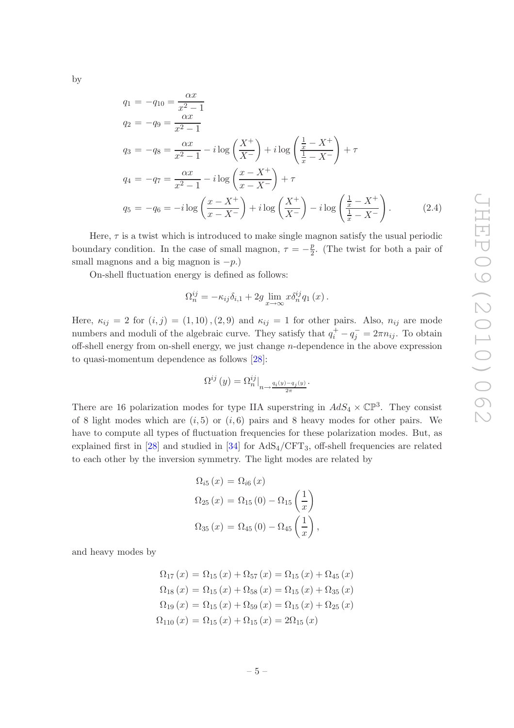by

<span id="page-5-0"></span>
$$
q_1 = -q_{10} = \frac{\alpha x}{x^2 - 1}
$$
  
\n
$$
q_2 = -q_9 = \frac{\alpha x}{x^2 - 1}
$$
  
\n
$$
q_3 = -q_8 = \frac{\alpha x}{x^2 - 1} - i \log \left( \frac{X^+}{X^-} \right) + i \log \left( \frac{\frac{1}{x} - X^+}{\frac{1}{x} - X^-} \right) + \tau
$$
  
\n
$$
q_4 = -q_7 = \frac{\alpha x}{x^2 - 1} - i \log \left( \frac{x - X^+}{x - X^-} \right) + \tau
$$
  
\n
$$
q_5 = -q_6 = -i \log \left( \frac{x - X^+}{x - X^-} \right) + i \log \left( \frac{X^+}{X^-} \right) - i \log \left( \frac{\frac{1}{x} - X^+}{\frac{1}{x} - X^-} \right). \tag{2.4}
$$

Here,  $\tau$  is a twist which is introduced to make single magnon satisfy the usual periodic boundary condition. In the case of small magnon,  $\tau = -\frac{p}{2}$  $\frac{p}{2}$ . (The twist for both a pair of small magnons and a big magnon is  $-p$ .)

On-shell fluctuation energy is defined as follows:

$$
\Omega_n^{ij} = -\kappa_{ij}\delta_{i,1} + 2g \lim_{x \to \infty} x \delta_n^{ij} q_1(x).
$$

Here,  $\kappa_{ij} = 2$  for  $(i, j) = (1, 10)$ ,  $(2, 9)$  and  $\kappa_{ij} = 1$  for other pairs. Also,  $n_{ij}$  are mode numbers and moduli of the algebraic curve. They satisfy that  $q_i^+ - q_j^- = 2\pi n_{ij}$ . To obtain off-shell energy from on-shell energy, we just change n-dependence in the above expression to quasi-momentum dependence as follows [\[28\]](#page-16-16):

$$
\Omega^{ij} (y) = \Omega_n^{ij} \big|_{n \to \frac{q_i(y) - q_j(y)}{2\pi}}.
$$

There are 16 polarization modes for type IIA superstring in  $AdS_4 \times \mathbb{CP}^3$ . They consist of 8 light modes which are  $(i, 5)$  or  $(i, 6)$  pairs and 8 heavy modes for other pairs. We have to compute all types of fluctuation frequencies for these polarization modes. But, as explained first in  $[28]$  and studied in  $[34]$  for  $AdS_4/CFT_3$ , off-shell frequencies are related to each other by the inversion symmetry. The light modes are related by

$$
\Omega_{i5}(x) = \Omega_{i6}(x) \n\Omega_{25}(x) = \Omega_{15}(0) - \Omega_{15}\left(\frac{1}{x}\right) \n\Omega_{35}(x) = \Omega_{45}(0) - \Omega_{45}\left(\frac{1}{x}\right),
$$

and heavy modes by

$$
\Omega_{17}(x) = \Omega_{15}(x) + \Omega_{57}(x) = \Omega_{15}(x) + \Omega_{45}(x)
$$
  
\n
$$
\Omega_{18}(x) = \Omega_{15}(x) + \Omega_{58}(x) = \Omega_{15}(x) + \Omega_{35}(x)
$$
  
\n
$$
\Omega_{19}(x) = \Omega_{15}(x) + \Omega_{59}(x) = \Omega_{15}(x) + \Omega_{25}(x)
$$
  
\n
$$
\Omega_{110}(x) = \Omega_{15}(x) + \Omega_{15}(x) = 2\Omega_{15}(x)
$$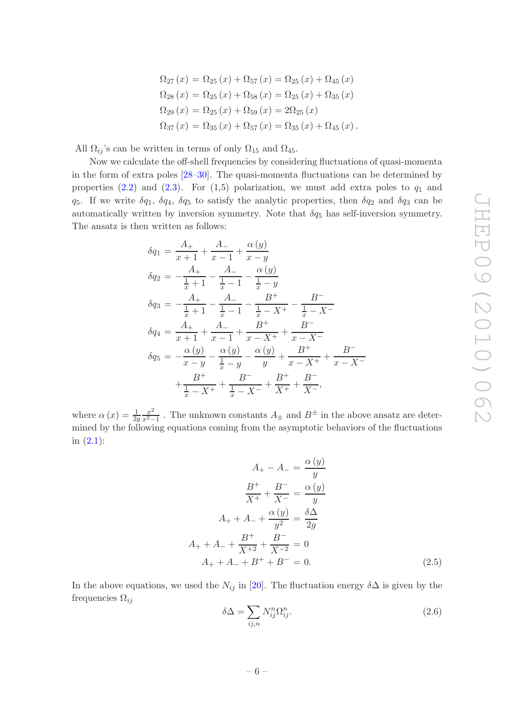$$
\Omega_{27}(x) = \Omega_{25}(x) + \Omega_{57}(x) = \Omega_{25}(x) + \Omega_{45}(x)
$$
  
\n
$$
\Omega_{28}(x) = \Omega_{25}(x) + \Omega_{58}(x) = \Omega_{25}(x) + \Omega_{35}(x)
$$
  
\n
$$
\Omega_{29}(x) = \Omega_{25}(x) + \Omega_{59}(x) = 2\Omega_{25}(x)
$$
  
\n
$$
\Omega_{37}(x) = \Omega_{35}(x) + \Omega_{57}(x) = \Omega_{35}(x) + \Omega_{45}(x).
$$

All  $\Omega_{ij}$ 's can be written in terms of only  $\Omega_{15}$  and  $\Omega_{45}$ .

Now we calculate the off-shell frequencies by considering fluctuations of quasi-momenta in the form of extra poles [\[28](#page-16-16)[–30](#page-17-0)]. The quasi-momenta fluctuations can be determined by properties  $(2.2)$  and  $(2.3)$ . For  $(1,5)$  polarization, we must add extra poles to  $q_1$  and  $q_5$ . If we write  $\delta q_1$ ,  $\delta q_4$ ,  $\delta q_5$  to satisfy the analytic properties, then  $\delta q_2$  and  $\delta q_3$  can be automatically written by inversion symmetry. Note that  $\delta q_5$  has self-inversion symmetry. The ansatz is then written as follows:

$$
\delta q_1 = \frac{A_+}{x+1} + \frac{A_-}{x-1} + \frac{\alpha(y)}{x-y}
$$
  
\n
$$
\delta q_2 = -\frac{A_+}{\frac{1}{x}+1} - \frac{A_-}{\frac{1}{x}-1} - \frac{\alpha(y)}{\frac{1}{x}-y}
$$
  
\n
$$
\delta q_3 = -\frac{A_+}{\frac{1}{x}+1} - \frac{A_-}{\frac{1}{x}-1} - \frac{B^+}{\frac{1}{x}-X^+} - \frac{B^-}{\frac{1}{x}-X^-}
$$
  
\n
$$
\delta q_4 = \frac{A_+}{x+1} + \frac{A_-}{x-1} + \frac{B^+}{x-X^+} + \frac{B^-}{x-X^-}
$$
  
\n
$$
\delta q_5 = -\frac{\alpha(y)}{x-y} - \frac{\alpha(y)}{\frac{1}{x}-y} - \frac{\alpha(y)}{y} + \frac{B^+}{x-X^+} + \frac{B^-}{x-X^-}
$$
  
\n
$$
+ \frac{B^+}{\frac{1}{x}-X^+} + \frac{B^-}{\frac{1}{x}-X^-} + \frac{B^+}{X^+} + \frac{B^-}{X^-},
$$

where  $\alpha(x) = \frac{1}{2g}$  $x^2$  $\frac{x^2}{x^2-1}$ . The unknown constants  $A_{\pm}$  and  $B^{\pm}$  in the above ansatz are determined by the following equations coming from the asymptotic behaviors of the fluctuations in [\(2.1\)](#page-3-2):

<span id="page-6-1"></span>
$$
A_{+} - A_{-} = \frac{\alpha(y)}{y}
$$

$$
\frac{B^{+}}{X^{+}} + \frac{B^{-}}{X^{-}} = \frac{\alpha(y)}{y}
$$

$$
A_{+} + A_{-} + \frac{\alpha(y)}{y^{2}} = \frac{\delta\Delta}{2g}
$$

$$
A_{+} + A_{-} + \frac{B^{+}}{X^{+2}} + \frac{B^{-}}{X^{-2}} = 0
$$

$$
A_{+} + A_{-} + B^{+} + B^{-} = 0.
$$
(2.5)

In the above equations, we used the  $N_{ij}$  in [\[20](#page-16-10)]. The fluctuation energy  $\delta\Delta$  is given by the frequencies  $\Omega_{ij}$ 

<span id="page-6-0"></span>
$$
\delta \Delta = \sum_{ij,n} N_{ij}^n \Omega_{ij}^n. \tag{2.6}
$$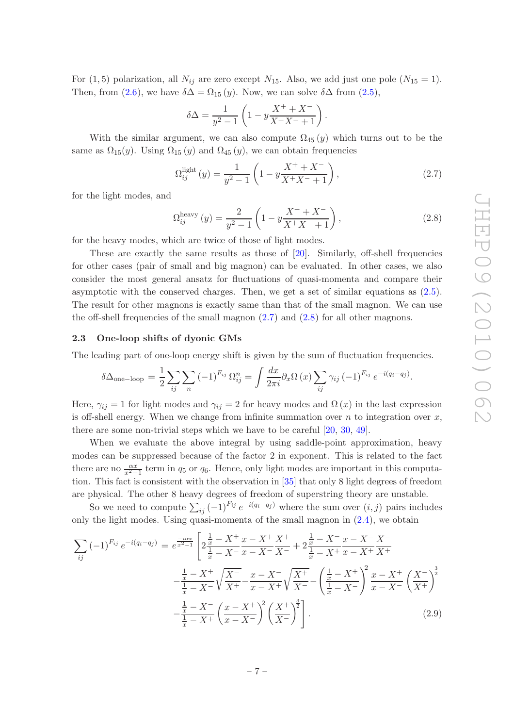For  $(1, 5)$  polarization, all  $N_{ij}$  are zero except  $N_{15}$ . Also, we add just one pole  $(N_{15} = 1)$ . Then, from [\(2.6\)](#page-6-0), we have  $\delta \Delta = \Omega_{15}(y)$ . Now, we can solve  $\delta \Delta$  from [\(2.5\)](#page-6-1),

$$
\delta \Delta = \frac{1}{y^2 - 1} \left( 1 - y \frac{X^+ + X^-}{X^+ X^- + 1} \right).
$$

With the similar argument, we can also compute  $\Omega_{45}(y)$  which turns out to be the same as  $\Omega_{15}(y)$ . Using  $\Omega_{15}(y)$  and  $\Omega_{45}(y)$ , we can obtain frequencies

<span id="page-7-1"></span>
$$
\Omega_{ij}^{\text{light}}(y) = \frac{1}{y^2 - 1} \left( 1 - y \frac{X^+ + X^-}{X^+ X^- + 1} \right),\tag{2.7}
$$

for the light modes, and

<span id="page-7-2"></span>
$$
\Omega_{ij}^{\text{heavy}}(y) = \frac{2}{y^2 - 1} \left( 1 - y \frac{X^+ + X^-}{X^+ + X^- + 1} \right),\tag{2.8}
$$

for the heavy modes, which are twice of those of light modes.

These are exactly the same results as those of [\[20\]](#page-16-10). Similarly, off-shell frequencies for other cases (pair of small and big magnon) can be evaluated. In other cases, we also consider the most general ansatz for fluctuations of quasi-momenta and compare their asymptotic with the conserved charges. Then, we get a set of similar equations as [\(2.5\)](#page-6-1). The result for other magnons is exactly same than that of the small magnon. We can use the off-shell frequencies of the small magnon [\(2.7\)](#page-7-1) and [\(2.8\)](#page-7-2) for all other magnons.

## <span id="page-7-0"></span>2.3 One-loop shifts of dyonic GMs

The leading part of one-loop energy shift is given by the sum of fluctuation frequencies.

$$
\delta \Delta_{\text{one-loop}} = \frac{1}{2} \sum_{ij} \sum_n \left(-1\right)^{F_{ij}} \Omega_{ij}^n = \int \frac{dx}{2\pi i} \partial_x \Omega \left(x\right) \sum_{ij} \gamma_{ij} \left(-1\right)^{F_{ij}} e^{-i(q_i - q_j)}.
$$

Here,  $\gamma_{ij} = 1$  for light modes and  $\gamma_{ij} = 2$  for heavy modes and  $\Omega(x)$  in the last expression is off-shell energy. When we change from infinite summation over  $n$  to integration over  $x$ , there are some non-trivial steps which we have to be careful [\[20,](#page-16-10) [30](#page-17-0), [49](#page-17-6)].

When we evaluate the above integral by using saddle-point approximation, heavy modes can be suppressed because of the factor 2 in exponent. This is related to the fact there are no  $\frac{\alpha x}{x^2-1}$  term in  $q_5$  or  $q_6$ . Hence, only light modes are important in this computation. This fact is consistent with the observation in [\[35](#page-17-7)] that only 8 light degrees of freedom are physical. The other 8 heavy degrees of freedom of superstring theory are unstable.

So we need to compute  $\sum_{ij} (-1)^{F_{ij}} e^{-i(q_i-q_j)}$  where the sum over  $(i, j)$  pairs includes only the light modes. Using quasi-momenta of the small magnon in [\(2.4\)](#page-5-0), we obtain

<span id="page-7-3"></span>
$$
\sum_{ij} (-1)^{F_{ij}} e^{-i(q_i - q_j)} = e^{\frac{-i\alpha x}{x^2 - 1}} \left[ 2\frac{\frac{1}{x} - X^+}{\frac{1}{x} - X^-} \frac{x - X^+}{x - X^-} \frac{X^+}{X^+} + 2\frac{\frac{1}{x} - X^-}{\frac{1}{x} - X^+} \frac{x - X^-}{x - X^+} \frac{X^-}{X^+} + \frac{\frac{1}{x} - X^+}{x - X^+} \frac{X^-}{X^+} \right]
$$

$$
- \frac{\frac{1}{x} - X^+}{\frac{1}{x} - X^-} \sqrt{\frac{X^-}{X^+}} - \frac{x - X^-}{x - X^+} \sqrt{\frac{X^+}{X^-}} - \left( \frac{\frac{1}{x} - X^+}{\frac{1}{x} - X^-} \right)^2 \frac{x - X^+}{x - X^-} \left( \frac{X^-}{X^+} \right)^3
$$

$$
- \frac{\frac{1}{x} - X^-}{\frac{1}{x} - X^+} \left( \frac{x - X^+}{x - X^-} \right)^2 \left( \frac{X^+}{X^-} \right)^3.
$$
(2.9)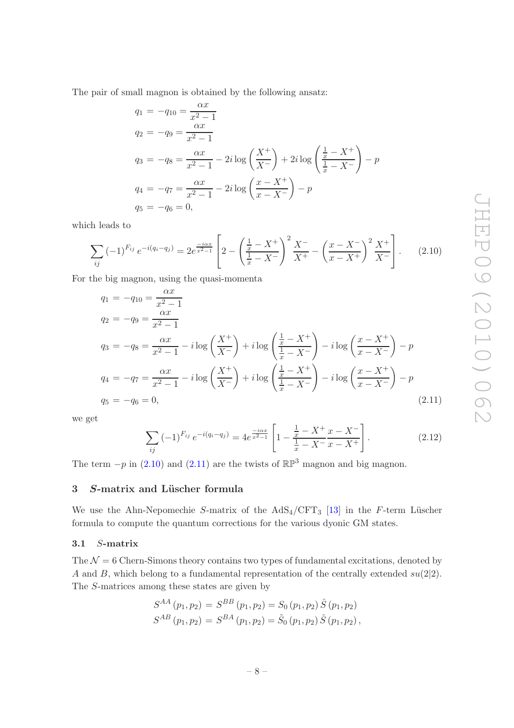The pair of small magnon is obtained by the following ansatz:  $\alpha x$ 

$$
q_1 = -q_{10} = \frac{2}{x^2 - 1}
$$
  
\n
$$
q_2 = -q_9 = \frac{\alpha x}{x^2 - 1}
$$
  
\n
$$
q_3 = -q_8 = \frac{\alpha x}{x^2 - 1} - 2i \log \left( \frac{X^+}{X^-} \right) + 2i \log \left( \frac{\frac{1}{x} - X^+}{\frac{1}{x} - X^-} \right) - p
$$
  
\n
$$
q_4 = -q_7 = \frac{\alpha x}{x^2 - 1} - 2i \log \left( \frac{x - X^+}{x - X^-} \right) - p
$$
  
\n
$$
q_5 = -q_6 = 0,
$$

which leads to

<span id="page-8-2"></span>
$$
\sum_{ij} (-1)^{F_{ij}} e^{-i(q_i - q_j)} = 2e^{\frac{-i\alpha x}{x^2 - 1}} \left[ 2 - \left( \frac{\frac{1}{x} - X^+}{\frac{1}{x} - X^-} \right)^2 \frac{X^-}{X^+} - \left( \frac{x - X^-}{x - X^+} \right)^2 \frac{X^+}{X^-} \right].
$$
 (2.10)

For the big magnon, using the quasi-momenta

<span id="page-8-3"></span>
$$
q_1 = -q_{10} = \frac{\alpha x}{x^2 - 1}
$$
  
\n
$$
q_2 = -q_9 = \frac{\alpha x}{x^2 - 1}
$$
  
\n
$$
q_3 = -q_8 = \frac{\alpha x}{x^2 - 1} - i \log \left( \frac{X^+}{X^-} \right) + i \log \left( \frac{\frac{1}{x} - X^+}{\frac{1}{x} - X^-} \right) - i \log \left( \frac{x - X^+}{x - X^-} \right) - p
$$
  
\n
$$
q_4 = -q_7 = \frac{\alpha x}{x^2 - 1} - i \log \left( \frac{X^+}{X^-} \right) + i \log \left( \frac{\frac{1}{x} - X^+}{\frac{1}{x} - X^-} \right) - i \log \left( \frac{x - X^+}{x - X^-} \right) - p
$$
  
\n
$$
q_5 = -q_6 = 0,
$$
\n(2.11)

we get

<span id="page-8-4"></span>
$$
\sum_{ij} (-1)^{F_{ij}} e^{-i(q_i - q_j)} = 4e^{\frac{-i\alpha x}{x^2 - 1}} \left[ 1 - \frac{\frac{1}{x} - X^+}{\frac{1}{x} - X^-} \frac{x - X^-}{x - X^+} \right].
$$
 (2.12)

The term  $-p$  in [\(2.10\)](#page-8-2) and [\(2.11\)](#page-8-3) are the twists of  $\mathbb{RP}^3$  magnon and big magnon.

# <span id="page-8-0"></span>3 S-matrix and Lüscher formula

We use the Ahn-Nepomechie S-matrix of the  $AdS_4/CFT_3$  [\[13\]](#page-16-3) in the F-term Lüscher formula to compute the quantum corrections for the various dyonic GM states.

## <span id="page-8-1"></span>3.1 S-matrix

The  $\mathcal{N} = 6$  Chern-Simons theory contains two types of fundamental excitations, denoted by A and B, which belong to a fundamental representation of the centrally extended  $su(2|2)$ . The S-matrices among these states are given by

$$
S^{AA}(p_1, p_2) = S^{BB}(p_1, p_2) = S_0(p_1, p_2) \hat{S}(p_1, p_2)
$$
  

$$
S^{AB}(p_1, p_2) = S^{BA}(p_1, p_2) = \tilde{S}_0(p_1, p_2) \hat{S}(p_1, p_2),
$$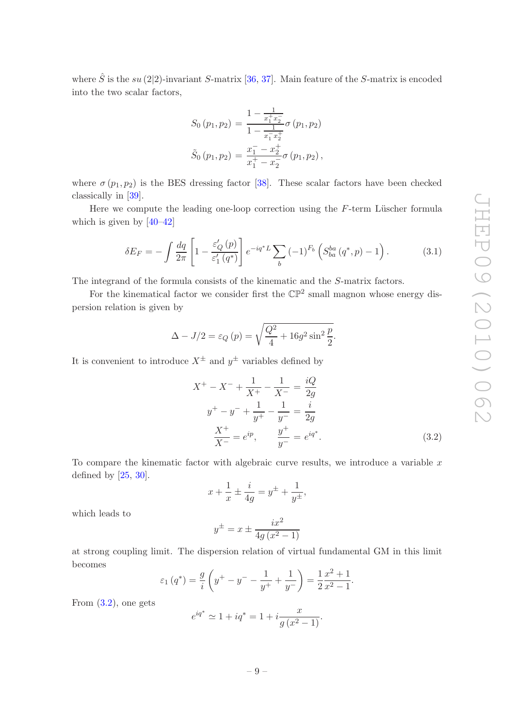where  $\hat{S}$  is the su (2|2)-invariant S-matrix [\[36,](#page-17-8) [37\]](#page-17-9). Main feature of the S-matrix is encoded into the two scalar factors,

$$
S_0 (p_1, p_2) = \frac{1 - \frac{1}{x_1^+ x_2^-}}{1 - \frac{1}{x_1^- x_2^+}} \sigma (p_1, p_2)
$$
  

$$
\tilde{S}_0 (p_1, p_2) = \frac{x_1^- - x_2^+}{x_1^+ - x_2^-} \sigma (p_1, p_2),
$$

where  $\sigma(p_1, p_2)$  is the BES dressing factor [\[38\]](#page-17-10). These scalar factors have been checked classically in [\[39\]](#page-17-11).

Here we compute the leading one-loop correction using the  $F$ -term Lüscher formula which is given by  $[40-42]$ 

$$
\delta E_F = -\int \frac{dq}{2\pi} \left[ 1 - \frac{\varepsilon'_Q(p)}{\varepsilon'_1(q^*)} \right] e^{-iq^*L} \sum_b (-1)^{F_b} \left( S_{ba}^{ba}(q^*, p) - 1 \right). \tag{3.1}
$$

The integrand of the formula consists of the kinematic and the S-matrix factors.

For the kinematical factor we consider first the  $\mathbb{CP}^2$  small magnon whose energy dispersion relation is given by

$$
\Delta - J/2 = \varepsilon_Q (p) = \sqrt{\frac{Q^2}{4} + 16g^2 \sin^2 \frac{p}{2}}.
$$

It is convenient to introduce  $X^{\pm}$  and  $y^{\pm}$  variables defined by

<span id="page-9-0"></span>
$$
X^{+} - X^{-} + \frac{1}{X^{+}} - \frac{1}{X^{-}} = \frac{iQ}{2g}
$$
  

$$
y^{+} - y^{-} + \frac{1}{y^{+}} - \frac{1}{y^{-}} = \frac{i}{2g}
$$
  

$$
\frac{X^{+}}{X^{-}} = e^{ip}, \qquad \frac{y^{+}}{y^{-}} = e^{iq^{*}}.
$$
 (3.2)

To compare the kinematic factor with algebraic curve results, we introduce a variable  $x$ defined by [\[25](#page-16-13), [30\]](#page-17-0).

$$
x + \frac{1}{x} \pm \frac{i}{4g} = y^{\pm} + \frac{1}{y^{\pm}},
$$

which leads to

$$
y^{\pm} = x \pm \frac{ix^2}{4g\left(x^2 - 1\right)}
$$

at strong coupling limit. The dispersion relation of virtual fundamental GM in this limit becomes

$$
\varepsilon_1(q^*) = \frac{g}{i} \left( y^+ - y^- - \frac{1}{y^+} + \frac{1}{y^-} \right) = \frac{1}{2} \frac{x^2 + 1}{x^2 - 1}.
$$

From [\(3.2\)](#page-9-0), one gets

$$
e^{iq^*} \simeq 1 + iq^* = 1 + i \frac{x}{g(x^2 - 1)}.
$$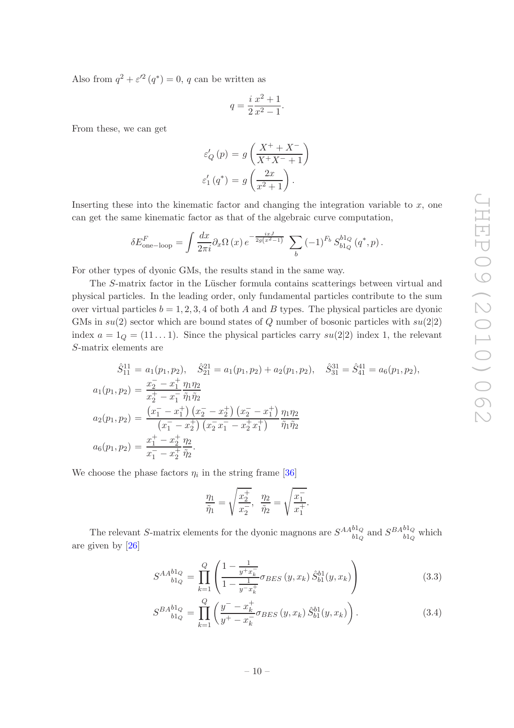Also from  $q^2 + \varepsilon'^2(q^*) = 0$ , q can be written as

$$
q = \frac{i}{2} \frac{x^2 + 1}{x^2 - 1}.
$$

From these, we can get

$$
\varepsilon'_{Q}(p) = g\left(\frac{X^+ + X^-}{X^+X^- + 1}\right)
$$

$$
\varepsilon'_{1}(q^*) = g\left(\frac{2x}{x^2 + 1}\right).
$$

Inserting these into the kinematic factor and changing the integration variable to  $x$ , one can get the same kinematic factor as that of the algebraic curve computation,

$$
\delta E_{\text{one-loop}}^F = \int \frac{dx}{2\pi i} \partial_x \Omega(x) e^{-\frac{ixJ}{2g(x^2-1)}} \sum_b (-1)^{F_b} S_{b1_Q}^{b1_Q}(q^*, p).
$$

For other types of dyonic GMs, the results stand in the same way.

The S-matrix factor in the Lüscher formula contains scatterings between virtual and physical particles. In the leading order, only fundamental particles contribute to the sum over virtual particles  $b = 1, 2, 3, 4$  of both A and B types. The physical particles are dyonic GMs in  $su(2)$  sector which are bound states of Q number of bosonic particles with  $su(2|2)$ index  $a = 1_Q = (11 \dots 1)$ . Since the physical particles carry  $su(2|2)$  index 1, the relevant S-matrix elements are

$$
\hat{S}_{11}^{11} = a_1(p_1, p_2), \quad \hat{S}_{21}^{21} = a_1(p_1, p_2) + a_2(p_1, p_2), \quad \hat{S}_{31}^{31} = \hat{S}_{41}^{41} = a_6(p_1, p_2),
$$
  
\n
$$
a_1(p_1, p_2) = \frac{x_2^- - x_1^+}{x_2^+ - x_1^-} \frac{\eta_1 \eta_2}{\tilde{\eta}_1 \tilde{\eta}_2}
$$
  
\n
$$
a_2(p_1, p_2) = \frac{(x_1^- - x_1^+)(x_2^- - x_2^+)(x_2^- - x_1^+)}{(x_1^- - x_2^+)(x_2^- x_1^- - x_2^+ x_1^+)} \frac{\eta_1 \eta_2}{\tilde{\eta}_1 \tilde{\eta}_2}
$$
  
\n
$$
a_6(p_1, p_2) = \frac{x_1^+ - x_2^+}{x_1^- - x_2^+} \frac{\eta_2}{\tilde{\eta}_2}.
$$

We choose the phase factors  $\eta_i$  in the string frame [\[36\]](#page-17-8)

$$
\frac{\eta_1}{\tilde{\eta}_1} = \sqrt{\frac{x_2^+}{x_2^-}}, \ \ \frac{\eta_2}{\tilde{\eta}_2} = \sqrt{\frac{x_1^-}{x_1^+}}.
$$

The relevant S-matrix elements for the dyonic magnons are  $S^{AA^{b1}Q}_{b1Q}$  $\frac{b1_Q}{b1_Q}$  and  $\frac{SBA^{b1_Q}}{b1_Q}$  $\frac{b_1}{b_1}_Q$  which are given by [\[26](#page-16-14)]

<span id="page-10-0"></span>
$$
S^{AA}{}_{b1Q}^{b1Q} = \prod_{k=1}^{Q} \left( \frac{1 - \frac{1}{y + x_k^-}}{1 - \frac{1}{y - x_k^+}} \sigma_{BES} \left( y, x_k \right) \hat{S}_{b1}^{b1}(y, x_k) \right) \tag{3.3}
$$

$$
S^{BA}_{blQ}^{blQ} = \prod_{k=1}^{Q} \left( \frac{y^- - x_k^+}{y^+ - x_k^-} \sigma_{BES} \left( y, x_k \right) \hat{S}_{bl}^{bl}(y, x_k) \right). \tag{3.4}
$$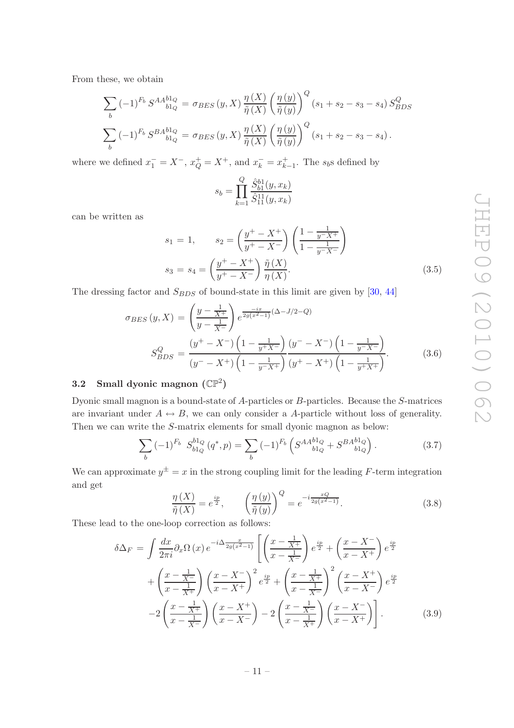From these, we obtain

$$
\sum_{b} (-1)^{F_b} S^{AA}_{blQ} = \sigma_{BES}(y, X) \frac{\eta(X)}{\tilde{\eta}(X)} \left(\frac{\eta(y)}{\tilde{\eta}(y)}\right)^Q (s_1 + s_2 - s_3 - s_4) S_{BDS}^Q
$$
  

$$
\sum_{b} (-1)^{F_b} S^{BA}_{blQ} = \sigma_{BES}(y, X) \frac{\eta(X)}{\tilde{\eta}(X)} \left(\frac{\eta(y)}{\tilde{\eta}(y)}\right)^Q (s_1 + s_2 - s_3 - s_4).
$$

where we defined  $x_1^- = X^-$ ,  $x_Q^+ = X^+$ , and  $x_k^- = x_{k-1}^+$ . The  $s_b$ s defined by

$$
s_b = \prod_{k=1}^{Q} \frac{\hat{S}_{b1}^{b1}(y, x_k)}{\hat{S}_{11}^{11}(y, x_k)}
$$

can be written as

<span id="page-11-1"></span>
$$
s_1 = 1, \t s_2 = \left(\frac{y^+ - X^+}{y^+ - X^-}\right) \left(\frac{1 - \frac{1}{y^- X^+}}{1 - \frac{1}{y^- X^-}}\right)
$$
  

$$
s_3 = s_4 = \left(\frac{y^+ - X^+}{y^+ - X^-}\right) \frac{\tilde{\eta}(X)}{\eta(X)}.
$$
(3.5)

The dressing factor and  $S_{BDS}$  of bound-state in this limit are given by [\[30](#page-17-0), [44\]](#page-17-14)

<span id="page-11-2"></span>
$$
\sigma_{BES}(y, X) = \left(\frac{y - \frac{1}{X^{+}}}{y - \frac{1}{X^{-}}}\right) e^{\frac{-ix}{2g(x^{2}-1)}(\Delta - J/2 - Q)}
$$

$$
S_{BDS}^{Q} = \frac{(y^{+} - X^{-})\left(1 - \frac{1}{y^{+}X^{-}}\right)\left(y^{-} - X^{-}\right)\left(1 - \frac{1}{y^{-}X^{-}}\right)}{(y^{-} - X^{+})\left(1 - \frac{1}{y^{-}X^{+}}\right)\left(y^{+} - X^{+}\right)\left(1 - \frac{1}{y^{+}X^{+}}\right)}.
$$
(3.6)

# <span id="page-11-0"></span>3.2 Small dyonic magnon  $(\mathbb{CP}^2)$

Dyonic small magnon is a bound-state of A-particles or B-particles. Because the S-matrices are invariant under  $A \leftrightarrow B$ , we can only consider a A-particle without loss of generality. Then we can write the S-matrix elements for small dyonic magnon as below:

$$
\sum_{b} (-1)^{F_b} S_{b1_Q}^{b1_Q} (q^*, p) = \sum_{b} (-1)^{F_b} \left( S^{AA}_{b1_Q} + S^{BA}_{b1_Q}^{b1_Q} \right). \tag{3.7}
$$

We can approximate  $y^{\pm} = x$  in the strong coupling limit for the leading F-term integration and get

$$
\frac{\eta(X)}{\tilde{\eta}(X)} = e^{\frac{ip}{2}}, \qquad \left(\frac{\eta(y)}{\tilde{\eta}(y)}\right)^Q = e^{-i\frac{xQ}{2g(x^2-1)}}.
$$
\n(3.8)

These lead to the one-loop correction as follows:

$$
\delta \Delta_F = \int \frac{dx}{2\pi i} \partial_x \Omega \left( x \right) e^{-i\Delta \frac{x}{2g(x^2 - 1)}} \left[ \left( \frac{x - \frac{1}{X^+}}{x - \frac{1}{X^-}} \right) e^{\frac{ip}{2}} + \left( \frac{x - X^-}{x - X^+} \right) e^{\frac{ip}{2}} \right] + \left( \frac{x - \frac{1}{X^-}}{x - \frac{1}{X^+}} \right) \left( \frac{x - X^-}{x - X^+} \right)^2 e^{\frac{ip}{2}} + \left( \frac{x - \frac{1}{X^+}}{x - \frac{1}{X^-}} \right)^2 \left( \frac{x - X^+}{x - X^-} \right) e^{\frac{ip}{2}} - 2 \left( \frac{x - \frac{1}{X^+}}{x - \frac{1}{X^-}} \right) \left( \frac{x - X^+}{x - X^-} \right) - 2 \left( \frac{x - \frac{1}{X^-}}{x - \frac{1}{X^+}} \right) \left( \frac{x - X^-}{x - X^+} \right) . \tag{3.9}
$$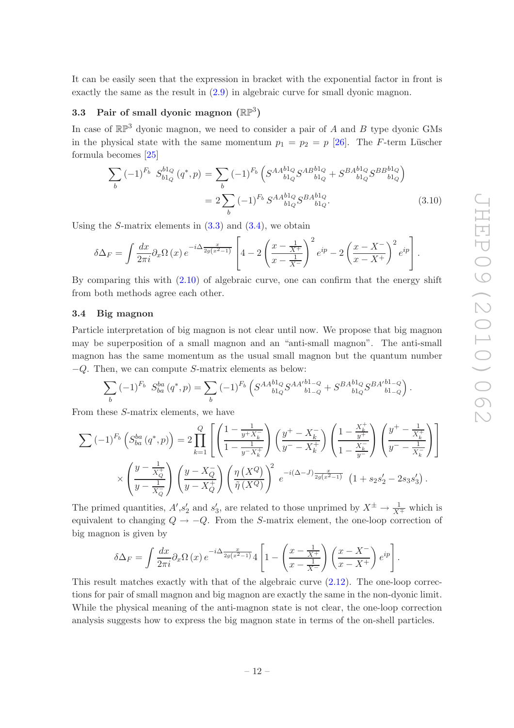It can be easily seen that the expression in bracket with the exponential factor in front is exactly the same as the result in [\(2.9\)](#page-7-3) in algebraic curve for small dyonic magnon.

# <span id="page-12-0"></span>3.3 Pair of small dyonic magnon  $(\mathbb{RP}^3)$

In case of  $\mathbb{RP}^3$  dyonic magnon, we need to consider a pair of A and B type dyonic GMs in the physical state with the same momentum  $p_1 = p_2 = p$  [\[26\]](#page-16-14). The F-term Lüscher formula becomes [\[25\]](#page-16-13)

$$
\sum_{b} (-1)^{F_b} S_{b1_Q}^{b1_Q} (q^*, p) = \sum_{b} (-1)^{F_b} \left( S^{AA}_{b1_Q} S^{AB}_{b1_Q}^{b1_Q} + S^{BA}_{b1_Q}^{b1_Q} S^{BB}_{b1_Q}^{b1_Q} \right)
$$

$$
= 2 \sum_{b} (-1)^{F_b} S^{AA}_{b1_Q} S^{BA}_{b1_Q}.
$$
(3.10)

Using the S-matrix elements in  $(3.3)$  and  $(3.4)$ , we obtain

$$
\delta \Delta_F = \int \frac{dx}{2\pi i} \partial_x \Omega(x) e^{-i\Delta \frac{x}{2g(x^2-1)}} \left[ 4 - 2 \left( \frac{x - \frac{1}{X^+}}{x - \frac{1}{X^-}} \right)^2 e^{ip} - 2 \left( \frac{x - X^-}{x - X^+} \right)^2 e^{ip} \right].
$$

By comparing this with [\(2.10\)](#page-8-2) of algebraic curve, one can confirm that the energy shift from both methods agree each other.

## <span id="page-12-1"></span>3.4 Big magnon

Particle interpretation of big magnon is not clear until now. We propose that big magnon may be superposition of a small magnon and an "anti-small magnon". The anti-small magnon has the same momentum as the usual small magnon but the quantum number  $-Q$ . Then, we can compute S-matrix elements as below:

$$
\sum_{b} (-1)^{F_b} S_{ba}^{ba} (q^*, p) = \sum_{b} (-1)^{F_b} \left( S^{AA_{b1Q}^{b1Q}} S^{AA'}_{b1_{-Q}} + S^{BA_{b1Q}^{b1Q}} S^{BA'}_{b1_{-Q}}^{b1_{-Q}} \right).
$$

From these S-matrix elements, we have

$$
\sum (-1)^{F_b} \left( S_{ba}^{ba} (q^*, p) \right) = 2 \prod_{k=1}^{Q} \left[ \left( \frac{1 - \frac{1}{y^+ X_k^-}}{1 - \frac{1}{y^- X_k^+}} \right) \left( \frac{y^+ - X_k^-}{y^- - X_k^+} \right) \left( \frac{1 - \frac{X_k^+}{y^+}}{1 - \frac{X_k^-}{y^-}} \right) \left( \frac{y^+ - \frac{1}{X_k^+}}{y^- - \frac{1}{X_k^-}} \right) \right]
$$
  
\$\times \left( \frac{y - \frac{1}{X\_Q^+}}{y - \frac{1}{X\_Q^-}} \right) \left( \frac{y - X\_Q^-}{y - X\_Q^+} \right) \left( \frac{\eta \left( X^Q \right)}{\tilde{\eta} \left( X^Q \right)} \right)^2 e^{-i(\Delta - J) \frac{x}{2g(x^2 - 1)}} \left( 1 + s\_2 s\_2' - 2s\_3 s\_3' \right).

The primed quantities,  $A', s'_2$  and  $s'_3$ , are related to those unprimed by  $X^{\pm} \to \frac{1}{X^{\mp}}$  which is equivalent to changing  $Q \rightarrow -Q$ . From the S-matrix element, the one-loop correction of big magnon is given by

$$
\delta \Delta_F = \int \frac{dx}{2\pi i} \partial_x \Omega(x) e^{-i\Delta \frac{x}{2g(x^2-1)}} 4 \left[ 1 - \left( \frac{x - \frac{1}{X^+}}{x - \frac{1}{X^-}} \right) \left( \frac{x - X^-}{x - X^+} \right) e^{ip} \right].
$$

This result matches exactly with that of the algebraic curve [\(2.12\)](#page-8-4). The one-loop corrections for pair of small magnon and big magnon are exactly the same in the non-dyonic limit. While the physical meaning of the anti-magnon state is not clear, the one-loop correction analysis suggests how to express the big magnon state in terms of the on-shell particles.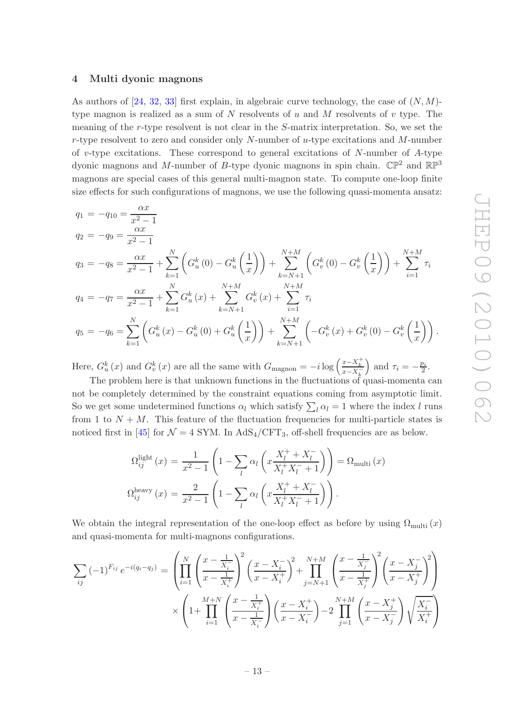## <span id="page-13-0"></span>4 Multi dyonic magnons

As authors of  $[24, 32, 33]$  $[24, 32, 33]$  $[24, 32, 33]$  $[24, 32, 33]$  first explain, in algebraic curve technology, the case of  $(N, M)$ type magnon is realized as a sum of  $N$  resolvents of  $u$  and  $M$  resolvents of  $v$  type. The meaning of the r-type resolvent is not clear in the S-matrix interpretation. So, we set the r-type resolvent to zero and consider only N-number of  $u$ -type excitations and M-number of v-type excitations. These correspond to general excitations of  $N$ -number of  $A$ -type dyonic magnons and M-number of B-type dyonic magnons in spin chain.  $\mathbb{CP}^2$  and  $\mathbb{RP}^3$ magnons are special cases of this general multi-magnon state. To compute one-loop finite size effects for such configurations of magnons, we use the following quasi-momenta ansatz:

$$
q_{1} = -q_{10} = \frac{\alpha x}{x^{2} - 1}
$$
  
\n
$$
q_{2} = -q_{9} = \frac{\alpha x}{x^{2} - 1}
$$
  
\n
$$
q_{3} = -q_{8} = \frac{\alpha x}{x^{2} - 1} + \sum_{k=1}^{N} \left( G_{u}^{k}(0) - G_{u}^{k}\left(\frac{1}{x}\right) \right) + \sum_{k=N+1}^{N+M} \left( G_{v}^{k}(0) - G_{v}^{k}\left(\frac{1}{x}\right) \right) + \sum_{i=1}^{N+M} \tau_{i}
$$
  
\n
$$
q_{4} = -q_{7} = \frac{\alpha x}{x^{2} - 1} + \sum_{k=1}^{N} G_{u}^{k}(x) + \sum_{k=N+1}^{N+M} G_{v}^{k}(x) + \sum_{i=1}^{N+M} \tau_{i}
$$
  
\n
$$
q_{5} = -q_{6} = \sum_{k=1}^{N} \left( G_{u}^{k}(x) - G_{u}^{k}(0) + G_{u}^{k}\left(\frac{1}{x}\right) \right) + \sum_{k=N+1}^{N+M} \left( -G_{v}^{k}(x) + G_{v}^{k}(0) - G_{v}^{k}\left(\frac{1}{x}\right) \right).
$$

Here,  $G_u^k(x)$  and  $G_v^k(x)$  are all the same with  $G_{\text{magnon}} = -i \log \left( \frac{x - X_k^+}{x - X_k^-} \right)$ ) and  $\tau_i = -\frac{p_i}{2}$  $\frac{b_i}{2}$ .

The problem here is that unknown functions in the fluctuations of quasi-momenta can not be completely determined by the constraint equations coming from asymptotic limit. So we get some undetermined functions  $\alpha_l$  which satisfy  $\sum_l \alpha_l = 1$  where the index l runs from 1 to  $N + M$ . This feature of the fluctuation frequencies for multi-particle states is noticed first in [\[45\]](#page-17-15) for  $\mathcal{N} = 4$  SYM. In AdS<sub>4</sub>/CFT<sub>3</sub>, off-shell frequencies are as below.

$$
\Omega_{ij}^{\text{light}}(x) = \frac{1}{x^2 - 1} \left( 1 - \sum_{l} \alpha_l \left( x \frac{X_l^+ + X_l^-}{X_l^+ X_l^- + 1} \right) \right) = \Omega_{\text{multi}}(x)
$$

$$
\Omega_{ij}^{\text{heavy}}(x) = \frac{2}{x^2 - 1} \left( 1 - \sum_{l} \alpha_l \left( x \frac{X_l^+ + X_l^-}{X_l^+ X_l^- + 1} \right) \right).
$$

We obtain the integral representation of the one-loop effect as before by using  $\Omega_{\text{multi}}(x)$ and quasi-momenta for multi-magnons configurations.

<span id="page-13-1"></span>
$$
\sum_{ij} (-1)^{F_{ij}} e^{-i(q_i - q_j)} = \left( \prod_{i=1}^{N} \left( \frac{x - \frac{1}{X_i^-}}{x - \frac{1}{X_i^+}} \right)^2 \left( \frac{x - X_i^-}{x - X_i^+} \right)^2 + \prod_{j=N+1}^{N+M} \left( \frac{x - \frac{1}{X_j^-}}{x - \frac{1}{X_j^+}} \right)^2 \left( \frac{x - X_j^-}{x - X_j^+} \right)^2 \right)
$$

$$
\times \left( 1 + \prod_{i=1}^{M+N} \left( \frac{x - \frac{1}{X_i^+}}{x - \frac{1}{X_i^-}} \right) \left( \frac{x - X_i^+}{x - X_i^-} \right) - 2 \prod_{j=1}^{N+M} \left( \frac{x - X_j^+}{x - X_j^-} \right) \sqrt{\frac{X_i^-}{X_i^+}} \right)
$$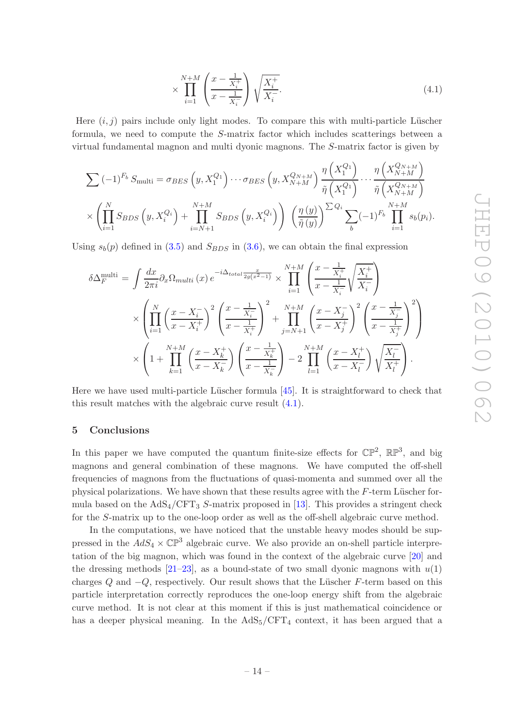$$
\times \prod_{i=1}^{N+M} \left( \frac{x - \frac{1}{X_i^+}}{x - \frac{1}{X_i^-}} \right) \sqrt{\frac{X_i^+}{X_i^-}}.
$$
\n(4.1)

Here  $(i, j)$  pairs include only light modes. To compare this with multi-particle Lüscher formula, we need to compute the S-matrix factor which includes scatterings between a virtual fundamental magnon and multi dyonic magnons. The S-matrix factor is given by

$$
\sum (-1)^{F_b} S_{\text{multi}} = \sigma_{BES} \left( y, X_1^{Q_1} \right) \cdots \sigma_{BES} \left( y, X_{N+M}^{Q_{N+M}} \right) \frac{\eta \left( X_1^{Q_1} \right)}{\tilde{\eta} \left( X_1^{Q_1} \right)} \cdots \frac{\eta \left( X_{N+M}^{Q_{N+M}} \right)}{\tilde{\eta} \left( X_{N+M}^{Q_{N+M}} \right)}
$$
\n
$$
\times \left( \prod_{i=1}^N S_{BDS} \left( y, X_i^{Q_i} \right) + \prod_{i=N+1}^{N+M} S_{BDS} \left( y, X_i^{Q_i} \right) \right) \left( \frac{\eta \left( y \right)}{\tilde{\eta} \left( y \right)} \right)^{\sum Q_i} \sum_b (-1)^{F_b} \prod_{i=1}^{N+M} s_b(p_i).
$$

Using  $s_b(p)$  defined in [\(3.5\)](#page-11-1) and  $S_{RDS}$  in [\(3.6\)](#page-11-2), we can obtain the final expression

$$
\delta \Delta_F^{\text{multi}} = \int \frac{dx}{2\pi i} \partial_x \Omega_{multi} (x) e^{-i\Delta_{total}} \frac{x}{2g(x^2 - 1)} \times \prod_{i=1}^{N+M} \left( \frac{x - \frac{1}{X_i^+}}{x - \frac{1}{X_i^-}} \sqrt{\frac{X_i^+}{X_i^-}} \right) \times \left( \prod_{i=1}^N \left( \frac{x - X_i^-}{x - X_i^+} \right)^2 \left( \frac{x - \frac{1}{X_i^-}}{x - \frac{1}{X_i^+}} \right)^2 + \prod_{j=N+1}^{N+M} \left( \frac{x - X_j^-}{x - X_j^+} \right)^2 \left( \frac{x - \frac{1}{X_j^-}}{x - \frac{1}{X_j^+}} \right)^2 \right) \times \left( 1 + \prod_{k=1}^{N+M} \left( \frac{x - X_k^+}{x - X_k^-} \right) \left( \frac{x - \frac{1}{X_k^+}}{x - \frac{1}{X_k^-}} \right) - 2 \prod_{l=1}^{N+M} \left( \frac{x - X_l^+}{x - X_l^-} \right) \sqrt{\frac{X_l^-}{X_l^+}} \right).
$$

Here we have used multi-particle Lüscher formula  $[45]$ . It is straightforward to check that this result matches with the algebraic curve result [\(4.1\)](#page-13-1).

## <span id="page-14-0"></span>5 Conclusions

In this paper we have computed the quantum finite-size effects for  $\mathbb{CP}^2$ ,  $\mathbb{RP}^3$ , and big magnons and general combination of these magnons. We have computed the off-shell frequencies of magnons from the fluctuations of quasi-momenta and summed over all the physical polarizations. We have shown that these results agree with the  $F$ -term Lüscher formula based on the  $AdS_4/CFT_3$  S-matrix proposed in [\[13](#page-16-3)]. This provides a stringent check for the S-matrix up to the one-loop order as well as the off-shell algebraic curve method.

In the computations, we have noticed that the unstable heavy modes should be suppressed in the  $AdS_4 \times \mathbb{CP}^3$  algebraic curve. We also provide an on-shell particle interpretation of the big magnon, which was found in the context of the algebraic curve [\[20](#page-16-10)] and the dressing methods  $[21-23]$ , as a bound-state of two small dyonic magnons with  $u(1)$ charges  $Q$  and  $-Q$ , respectively. Our result shows that the Lüscher F-term based on this particle interpretation correctly reproduces the one-loop energy shift from the algebraic curve method. It is not clear at this moment if this is just mathematical coincidence or has a deeper physical meaning. In the  $AdS_5/CFT_4$  context, it has been argued that a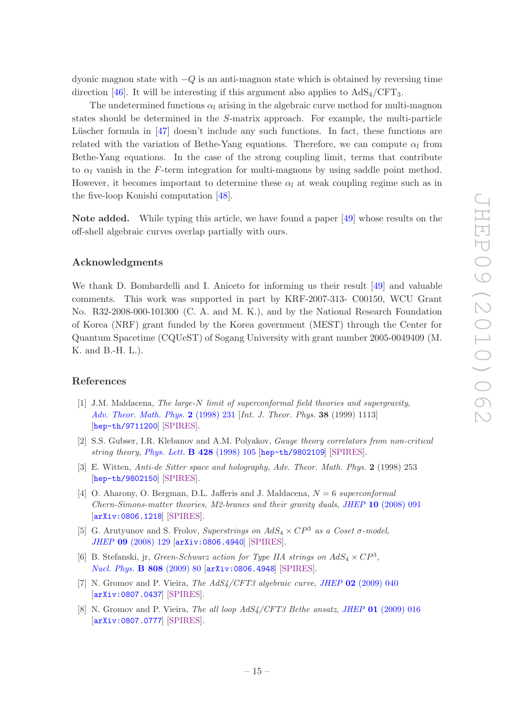dyonic magnon state with  $-Q$  is an anti-magnon state which is obtained by reversing time direction [\[46\]](#page-17-16). It will be interesting if this argument also applies to  $AdS_4/CFT_3$ .

The undetermined functions  $\alpha_l$  arising in the algebraic curve method for multi-magnon states should be determined in the S-matrix approach. For example, the multi-particle Lüscher formula in  $[47]$  doesn't include any such functions. In fact, these functions are related with the variation of Bethe-Yang equations. Therefore, we can compute  $\alpha_l$  from Bethe-Yang equations. In the case of the strong coupling limit, terms that contribute to  $\alpha_l$  vanish in the F-term integration for multi-magnons by using saddle point method. However, it becomes important to determine these  $\alpha_l$  at weak coupling regime such as in the five-loop Konishi computation [\[48\]](#page-17-18).

Note added. While typing this article, we have found a paper [\[49\]](#page-17-6) whose results on the off-shell algebraic curves overlap partially with ours.

## Acknowledgments

We thank D. Bombardelli and I. Aniceto for informing us their result [\[49](#page-17-6)] and valuable comments. This work was supported in part by KRF-2007-313- C00150, WCU Grant No. R32-2008-000-101300 (C. A. and M. K.), and by the National Research Foundation of Korea (NRF) grant funded by the Korea government (MEST) through the Center for Quantum Spacetime (CQUeST) of Sogang University with grant number 2005-0049409 (M. K. and B.-H. L.).

## References

- <span id="page-15-0"></span>[1] J.M. Maldacena, *The large-*N *limit of superconformal field theories and supergravity*, *[Adv. Theor. Math. Phys.](http://dx.doi.org/10.1023/A:1026654312961)* 2 (1998) 231 [*Int. J. Theor. Phys.* 38 (1999) 1113] [[hep-th/9711200](http://arxiv.org/abs/hep-th/9711200)] [\[SPIRES\]](http://www-spires.slac.stanford.edu/spires/find/hep/www?eprint=HEP-TH/9711200).
- [2] S.S. Gubser, I.R. Klebanov and A.M. Polyakov, *Gauge theory correlators from non-critical string theory*, *[Phys. Lett.](http://dx.doi.org/10.1016/S0370-2693(98)00377-3)* B 428 (1998) 105 [[hep-th/9802109](http://arxiv.org/abs/hep-th/9802109)] [\[SPIRES\]](http://www-spires.slac.stanford.edu/spires/find/hep/www?eprint=HEP-TH/9802109).
- <span id="page-15-1"></span>[3] E. Witten, *Anti-de Sitter space and holography*, *Adv. Theor. Math. Phys.* 2 (1998) 253 [[hep-th/9802150](http://arxiv.org/abs/hep-th/9802150)] [\[SPIRES\]](http://www-spires.slac.stanford.edu/spires/find/hep/www?eprint=HEP-TH/9802150).
- <span id="page-15-2"></span>[4] O. Aharony, O. Bergman, D.L. Jafferis and J. Maldacena, N = 6 *superconformal Chern-Simons-matter theories, M2-branes and their gravity duals*, *JHEP* 10 [\(2008\) 091](http://dx.doi.org/10.1088/1126-6708/2008/10/091) [[arXiv:0806.1218](http://arxiv.org/abs/0806.1218)] [\[SPIRES\]](http://www-spires.slac.stanford.edu/spires/find/hep/www?eprint=0806.1218).
- <span id="page-15-3"></span>[5] G. Arutyunov and S. Frolov, *Superstrings on*  $AdS_4 \times CP^3$  *as a Coset*  $\sigma$ *-model*, *JHEP* 09 [\(2008\) 129](http://dx.doi.org/10.1088/1126-6708/2008/09/129) [[arXiv:0806.4940](http://arxiv.org/abs/0806.4940)] [\[SPIRES\]](http://www-spires.slac.stanford.edu/spires/find/hep/www?eprint=0806.4940).
- [6] B. Stefanski, jr, *Green-Schwarz action for Type IIA strings on*  $AdS_4 \times CP^3$ , *[Nucl. Phys.](http://dx.doi.org/10.1016/j.nuclphysb.2008.09.015)* B 808 (2009) 80 [[arXiv:0806.4948](http://arxiv.org/abs/0806.4948)] [\[SPIRES\]](http://www-spires.slac.stanford.edu/spires/find/hep/www?eprint=0806.4948).
- <span id="page-15-4"></span>[7] N. Gromov and P. Vieira, *The AdS4/CFT3 algebraic curve*, *JHEP* 02 [\(2009\) 040](http://dx.doi.org/10.1088/1126-6708/2009/02/040) [[arXiv:0807.0437](http://arxiv.org/abs/0807.0437)] [\[SPIRES\]](http://www-spires.slac.stanford.edu/spires/find/hep/www?eprint=0807.0437).
- <span id="page-15-5"></span>[8] N. Gromov and P. Vieira, *The all loop AdS4/CFT3 Bethe ansatz*, *JHEP* 01 [\(2009\) 016](http://dx.doi.org/10.1088/1126-6708/2009/01/016) [[arXiv:0807.0777](http://arxiv.org/abs/0807.0777)] [\[SPIRES\]](http://www-spires.slac.stanford.edu/spires/find/hep/www?eprint=0807.0777).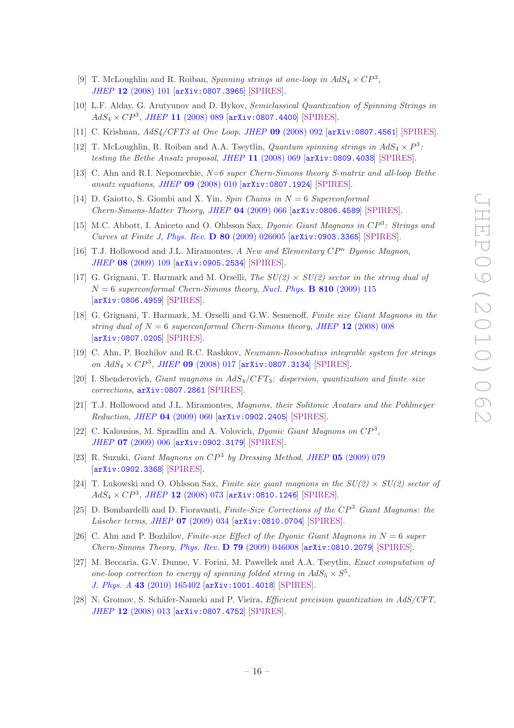- <span id="page-16-0"></span>[9] T. McLoughlin and R. Roiban, *Spinning strings at one-loop in*  $AdS_4 \times CP^3$ , *JHEP* 12 [\(2008\) 101](http://dx.doi.org/10.1088/1126-6708/2008/12/101) [[arXiv:0807.3965](http://arxiv.org/abs/0807.3965)] [\[SPIRES\]](http://www-spires.slac.stanford.edu/spires/find/hep/www?eprint=0807.3965).
- [10] L.F. Alday, G. Arutyunov and D. Bykov, *Semiclassical Quantization of Spinning Strings in*  $AdS_4 \times CP^3$ , *JHEP* 11 [\(2008\) 089](http://dx.doi.org/10.1088/1126-6708/2008/11/089) [[arXiv:0807.4400](http://arxiv.org/abs/0807.4400)] [\[SPIRES\]](http://www-spires.slac.stanford.edu/spires/find/hep/www?eprint=0807.4400).
- <span id="page-16-1"></span>[11] C. Krishnan, *AdS4/CFT3 at One Loop*, *JHEP* 09 [\(2008\) 092](http://dx.doi.org/10.1088/1126-6708/2008/09/092) [[arXiv:0807.4561](http://arxiv.org/abs/0807.4561)] [\[SPIRES\]](http://www-spires.slac.stanford.edu/spires/find/hep/www?eprint=0807.4561).
- <span id="page-16-2"></span>[12] T. McLoughlin, R. Roiban and A.A. Tseytlin, *Quantum spinning strings in*  $AdS_4 \times P^3$ : *testing the Bethe Ansatz proposal*, *JHEP* 11 [\(2008\) 069](http://dx.doi.org/10.1088/1126-6708/2008/11/069) [[arXiv:0809.4038](http://arxiv.org/abs/0809.4038)] [\[SPIRES\]](http://www-spires.slac.stanford.edu/spires/find/hep/www?eprint=0809.4038).
- <span id="page-16-3"></span>[13] C. Ahn and R.I. Nepomechie, *N=6 super Chern-Simons theory S-matrix and all-loop Bethe ansatz equations*, *JHEP* 09 [\(2008\) 010](http://dx.doi.org/10.1088/1126-6708/2008/09/010) [[arXiv:0807.1924](http://arxiv.org/abs/0807.1924)] [\[SPIRES\]](http://www-spires.slac.stanford.edu/spires/find/hep/www?eprint=0807.1924).
- <span id="page-16-4"></span>[14] D. Gaiotto, S. Giombi and X. Yin, *Spin Chains in* N = 6 *Superconformal Chern-Simons-Matter Theory*, *JHEP* 04 [\(2009\) 066](http://dx.doi.org/10.1088/1126-6708/2009/04/066) [[arXiv:0806.4589](http://arxiv.org/abs/0806.4589)] [\[SPIRES\]](http://www-spires.slac.stanford.edu/spires/find/hep/www?eprint=0806.4589).
- <span id="page-16-5"></span>[15] M.C. Abbott, I. Aniceto and O. Ohlsson Sax, *Dyonic Giant Magnons in* CP<sup>3</sup> *: Strings and Curves at Finite J*, *Phys. Rev.* D 80 [\(2009\) 026005](http://dx.doi.org/10.1103/PhysRevD.80.026005) [[arXiv:0903.3365](http://arxiv.org/abs/0903.3365)] [\[SPIRES\]](http://www-spires.slac.stanford.edu/spires/find/hep/www?eprint=0903.3365).
- <span id="page-16-6"></span>[16] T.J. Hollowood and J.L. Miramontes,  $A$  *New and Elementary*  $\mathbb{CP}^n$  *Dyonic Magnon*, *JHEP* 08 [\(2009\) 109](http://dx.doi.org/10.1088/1126-6708/2009/08/109) [[arXiv:0905.2534](http://arxiv.org/abs/0905.2534)] [\[SPIRES\]](http://www-spires.slac.stanford.edu/spires/find/hep/www?eprint=0905.2534).
- <span id="page-16-7"></span>[17] G. Grignani, T. Harmark and M. Orselli, *The SU(2)* × *SU(2) sector in the string dual of*  $N = 6$  superconformal Chern-Simons theory, [Nucl. Phys.](http://dx.doi.org/10.1016/j.nuclphysb.2008.10.019) **B** 810 (2009) 115 [[arXiv:0806.4959](http://arxiv.org/abs/0806.4959)] [\[SPIRES\]](http://www-spires.slac.stanford.edu/spires/find/hep/www?eprint=0806.4959).
- <span id="page-16-8"></span>[18] G. Grignani, T. Harmark, M. Orselli and G.W. Semenoff, *Finite size Giant Magnons in the string dual of*  $N = 6$  *superconformal Chern-Simons theory, JHEP* 12 [\(2008\) 008](http://dx.doi.org/10.1088/1126-6708/2008/12/008) [[arXiv:0807.0205](http://arxiv.org/abs/0807.0205)] [\[SPIRES\]](http://www-spires.slac.stanford.edu/spires/find/hep/www?eprint=0807.0205).
- <span id="page-16-9"></span>[19] C. Ahn, P. Bozhilov and R.C. Rashkov, *Neumann-Rosochatius integrable system for strings*  $on\ AdS_4\times CP^3,\ JHEP$ 09 [\(2008\) 017](http://dx.doi.org/10.1088/1126-6708/2008/09/017) [[arXiv:0807.3134](http://arxiv.org/abs/0807.3134)] [\[SPIRES\]](http://www-spires.slac.stanford.edu/spires/find/hep/www?eprint=0807.3134).
- <span id="page-16-10"></span>[20] I. Shenderovich, *Giant magnons in* AdS4/CF T3*: dispersion, quantization and finite–size corrections*, [arXiv:0807.2861](http://arxiv.org/abs/0807.2861) [\[SPIRES\]](http://www-spires.slac.stanford.edu/spires/find/hep/www?eprint=0807.2861).
- <span id="page-16-17"></span>[21] T.J. Hollowood and J.L. Miramontes, *Magnons, their Solitonic Avatars and the Pohlmeyer Reduction*, *JHEP* 04 [\(2009\) 060](http://dx.doi.org/10.1088/1126-6708/2009/04/060) [[arXiv:0902.2405](http://arxiv.org/abs/0902.2405)] [\[SPIRES\]](http://www-spires.slac.stanford.edu/spires/find/hep/www?eprint=0902.2405).
- [22] C. Kalousios, M. Spradlin and A. Volovich, *Dyonic Giant Magnons on* CP<sup>3</sup> , *JHEP* 07 [\(2009\) 006](http://dx.doi.org/10.1088/1126-6708/2009/07/006) [[arXiv:0902.3179](http://arxiv.org/abs/0902.3179)] [\[SPIRES\]](http://www-spires.slac.stanford.edu/spires/find/hep/www?eprint=0902.3179).
- <span id="page-16-11"></span>[23] R. Suzuki, *Giant Magnons on* CP<sup>3</sup> *by Dressing Method*, *JHEP* 05 [\(2009\) 079](http://dx.doi.org/10.1088/1126-6708/2009/05/079) [[arXiv:0902.3368](http://arxiv.org/abs/0902.3368)] [\[SPIRES\]](http://www-spires.slac.stanford.edu/spires/find/hep/www?eprint=0902.3368).
- <span id="page-16-12"></span>[24] T. Lukowski and O. Ohlsson Sax, *Finite size giant magnons in the*  $SU(2) \times SU(2)$  *sector of*  $AdS_4 \times CP^3$ , *JHEP* 12 [\(2008\) 073](http://dx.doi.org/10.1088/1126-6708/2008/12/073) [[arXiv:0810.1246](http://arxiv.org/abs/0810.1246)] [\[SPIRES\]](http://www-spires.slac.stanford.edu/spires/find/hep/www?eprint=0810.1246).
- <span id="page-16-13"></span>[25] D. Bombardelli and D. Fioravanti, *Finite-Size Corrections of the* CP<sup>3</sup> *Giant Magnons: the L´uscher terms*, *JHEP* 07 [\(2009\) 034](http://dx.doi.org/10.1088/1126-6708/2009/07/034) [[arXiv:0810.0704](http://arxiv.org/abs/0810.0704)] [\[SPIRES\]](http://www-spires.slac.stanford.edu/spires/find/hep/www?eprint=0810.0704).
- <span id="page-16-14"></span>[26] C. Ahn and P. Bozhilov, *Finite-size Effect of the Dyonic Giant Magnons in* N = 6 *super Chern-Simons Theory*, *Phys. Rev.* D 79 [\(2009\) 046008](http://dx.doi.org/10.1103/PhysRevD.79.046008) [[arXiv:0810.2079](http://arxiv.org/abs/0810.2079)] [\[SPIRES\]](http://www-spires.slac.stanford.edu/spires/find/hep/www?eprint=0810.2079).
- <span id="page-16-15"></span>[27] M. Beccaria, G.V. Dunne, V. Forini, M. Pawellek and A.A. Tseytlin, *Exact computation of one-loop correction to energy of spinning folded string in*  $AdS_5 \times S^5$ , *J. Phys. A* 43 [\(2010\) 165402](http://dx.doi.org/10.1088/1751-8113/43/16/165402) [[arXiv:1001.4018](http://arxiv.org/abs/1001.4018)] [\[SPIRES\]](http://www-spires.slac.stanford.edu/spires/find/hep/www?eprint=1001.4018).
- <span id="page-16-16"></span>[28] N. Gromov, S. Schäfer-Nameki and P. Vieira, *Efficient precision quantization in AdS/CFT*, *JHEP* 12 [\(2008\) 013](http://dx.doi.org/10.1088/1126-6708/2008/12/013) [[arXiv:0807.4752](http://arxiv.org/abs/0807.4752)] [\[SPIRES\]](http://www-spires.slac.stanford.edu/spires/find/hep/www?eprint=0807.4752).